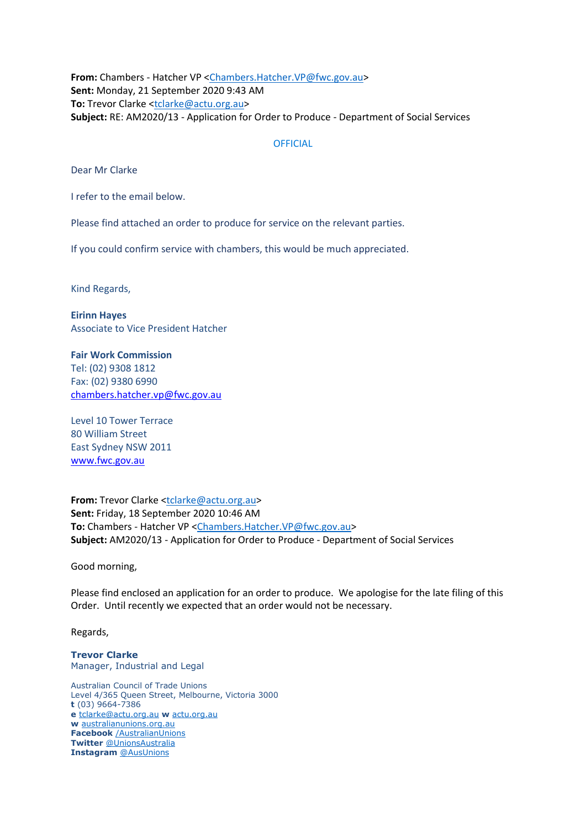**From:** Chambers - Hatcher VP [<Chambers.Hatcher.VP@fwc.gov.au>](mailto:Chambers.Hatcher.VP@fwc.gov.au) **Sent:** Monday, 21 September 2020 9:43 AM **To:** Trevor Clarke [<tclarke@actu.org.au>](mailto:tclarke@actu.org.au) **Subject:** RE: AM2020/13 - Application for Order to Produce - Department of Social Services

#### **OFFICIAL**

Dear Mr Clarke

I refer to the email below.

Please find attached an order to produce for service on the relevant parties.

If you could confirm service with chambers, this would be much appreciated.

Kind Regards,

**Eirinn Hayes** Associate to Vice President Hatcher

**Fair Work Commission**  Tel: (02) 9308 1812 Fax: (02) 9380 6990 [chambers.hatcher.vp@fwc.gov.au](mailto:chambers.hatcher.vp@fwc.gov.au) 

Level 10 Tower Terrace 80 William Street East Sydney NSW 2011 [www.fwc.gov.au](http://www.fwc.gov.au/)

**From:** Trevor Clarke [<tclarke@actu.org.au>](mailto:tclarke@actu.org.au) **Sent:** Friday, 18 September 2020 10:46 AM **To:** Chambers - Hatcher VP [<Chambers.Hatcher.VP@fwc.gov.au>](mailto:Chambers.Hatcher.VP@fwc.gov.au) **Subject:** AM2020/13 - Application for Order to Produce - Department of Social Services

Good morning,

Please find enclosed an application for an order to produce. We apologise for the late filing of this Order. Until recently we expected that an order would not be necessary.

Regards,

**Trevor Clarke** Manager, Industrial and Legal

Australian Council of Trade Unions Level 4/365 Queen Street, Melbourne, Victoria 3000 **t** (03) 9664-7386 **e** [tclarke@actu.org.au](mailto:tclarke@actu.org.au) **w** [actu.org.au](http://actu.org.au/) **w** [australianunions.org.au](http://australianunions.org.au/) **Facebook** [/AustralianUnions](http://facebook.com/australianunions) **Twitter** [@UnionsAustralia](http://twitter.com/unionsaustralia) **Instagram** [@AusUnions](https://www.instagram.com/ausunions)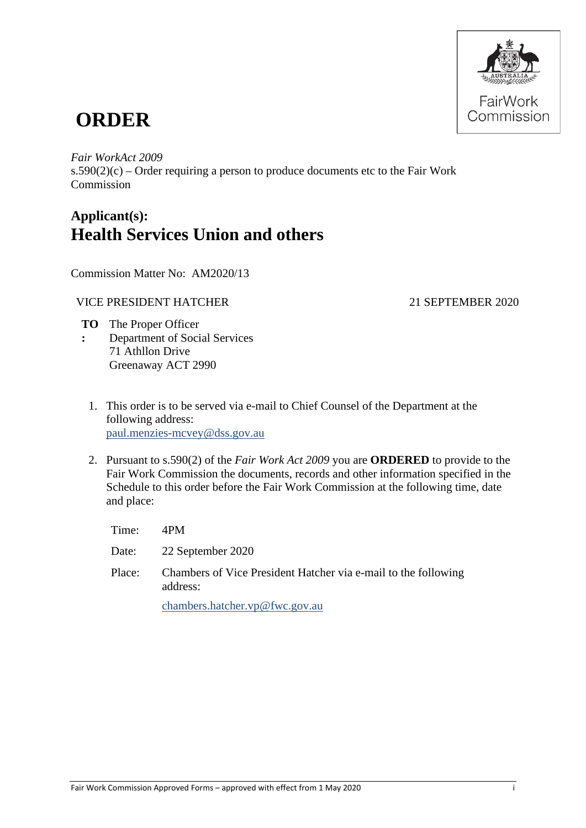

# **ORDER**

*Fair WorkAct 2009*

 $s.590(2)(c)$  – Order requiring a person to produce documents etc to the Fair Work Commission

## **Applicant(s): Health Services Union and others**

Commission Matter No: AM2020/13

### VICE PRESIDENT HATCHER
2020

- **TO** The Proper Officer **:** Department of Social Services 71 Athllon Drive Greenaway ACT 2990
	- 1. This order is to be served via e-mail to Chief Counsel of the Department at the following address: [paul.menzies-mcvey@dss.gov.au](mailto:paul.menzies-mcvey@dss.gov.au)
	- 2. Pursuant to s.590(2) of the *Fair Work Act 2009* you are **ORDERED** to provide to the Fair Work Commission the documents, records and other information specified in the Schedule to this order before the Fair Work Commission at the following time, date and place:

Time: 4PM Date: 22 September 2020 Place: Chambers of Vice President Hatcher via e-mail to the following address: [chambers.hatcher.vp@fwc.gov.au](mailto:chambers.hatcher.vp@fwc.gov.au)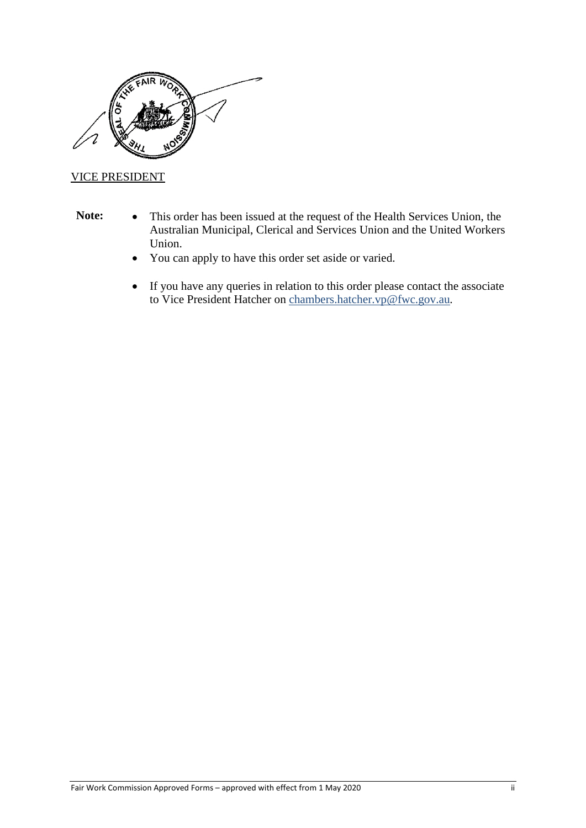

#### VICE PRESIDENT

- 
- **Note:** This order has been issued at the request of the Health Services Union, the Australian Municipal, Clerical and Services Union and the United Workers Union.
	- You can apply to have this order set aside or varied.
	- If you have any queries in relation to this order please contact the associate to Vice President Hatcher on [chambers.hatcher.vp@fwc.gov.au](mailto:chambers.hatcher.vp@fwc.gov.au)*.*